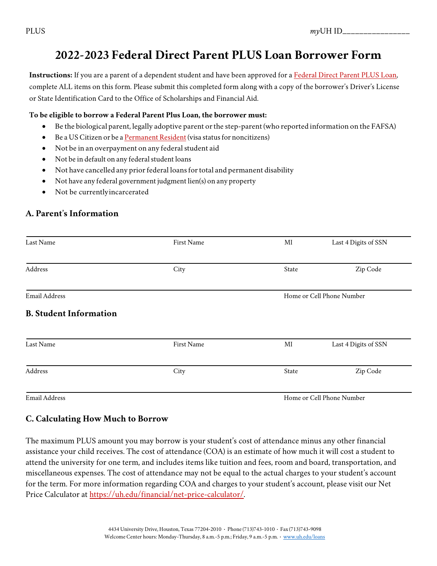# **2022-2023 Federal Direct Parent PLUS Loan Borrower Form**

**Instructions:** If you are a parent of a dependent student and have been approved for a [Federal Direct Parent PLUS Loan,](https://studentaid.ed.gov/sa/types/loans/plus/parent) complete ALL items on this form. Please submit this completed form along with a copy of the borrower's Driver's License or State Identification Card to the Office of Scholarships and Financial Aid.

#### **To be eligible to borrow a Federal Parent Plus Loan, the borrower must:**

- Be the biological parent, legally adoptive parent orthe step-parent (who reported information on the FAFSA)
- Be a US Citizen or be a [Permanent](https://www.dhs.gov/immigration-statistics/lawful-permanent-residents) Resident (visa status for noncitizens)
- Not be in an overpayment on any federal student aid
- Not be in default on any federal student loans
- Not have cancelled any prior federal loans for total and permanent disability
- Not have any federal government judgment lien(s) on any property
- Not be currentlyincarcerated

#### **A. Parent's Information**

| Last Name                     | First Name | MI                        | Last 4 Digits of SSN |
|-------------------------------|------------|---------------------------|----------------------|
| Address                       | City       | State                     | Zip Code             |
| <b>Email Address</b>          |            | Home or Cell Phone Number |                      |
| <b>B. Student Information</b> |            |                           |                      |
| Last Name                     | First Name | $\rm MI$                  | Last 4 Digits of SSN |
| Address                       | City       | State                     | Zip Code             |
|                               |            |                           |                      |

Email Address **Home or Cell Phone Number** 

#### **C. Calculating How Much to Borrow**

The maximum PLUS amount you may borrow is your student's cost of attendance minus any other financial assistance your child receives. The cost of attendance (COA) is an estimate of how much it will cost a student to attend the university for one term, and includes items like tuition and fees, room and board, transportation, and miscellaneous expenses. The cost of attendance may not be equal to the actual charges to your student's account for the term. For more information regarding COA and charges to your student's account, please visit our Net Price Calculator at [https://uh.edu/financial/net-price-calculator/.](https://uh.edu/financial/net-price-calculator/)